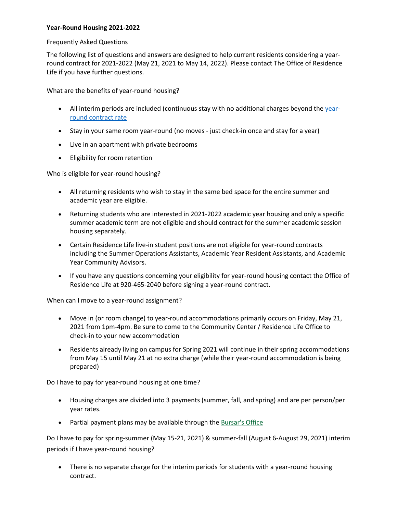## **Year-Round Housing 2021-2022**

## Frequently Asked Questions

The following list of questions and answers are designed to help current residents considering a yearround contract for 2021-2022 (May 21, 2021 to May 14, 2022). Please contact The Office of Residence Life if you have further questions.

What are the benefits of year-round housing?

- All interim periods are included (continuous stay with no additional charges beyond the [year](https://www.uwgb.edu/housing/living-on-campus/rates-billing/)[round contract rate](https://www.uwgb.edu/housing/living-on-campus/rates-billing/)
- Stay in your same room year-round (no moves just check-in once and stay for a year)
- Live in an apartment with private bedrooms
- Eligibility for room retention

Who is eligible for year-round housing?

- All returning residents who wish to stay in the same bed space for the entire summer and academic year are eligible.
- Returning students who are interested in 2021-2022 academic year housing and only a specific summer academic term are not eligible and should contract for the summer academic session housing separately.
- Certain Residence Life live-in student positions are not eligible for year-round contracts including the Summer Operations Assistants, Academic Year Resident Assistants, and Academic Year Community Advisors.
- If you have any questions concerning your eligibility for year-round housing contact the Office of Residence Life at 920-465-2040 before signing a year-round contract.

When can I move to a year-round assignment?

- Move in (or room change) to year-round accommodations primarily occurs on Friday, May 21, 2021 from 1pm-4pm. Be sure to come to the Community Center / Residence Life Office to check-in to your new accommodation
- Residents already living on campus for Spring 2021 will continue in their spring accommodations from May 15 until May 21 at no extra charge (while their year-round accommodation is being prepared)

Do I have to pay for year-round housing at one time?

- Housing charges are divided into 3 payments (summer, fall, and spring) and are per person/per year rates.
- Partial payment plans may be available through the [Bursar's Office](http://www.uwgb.edu/bursar)

Do I have to pay for spring-summer (May 15-21, 2021) & summer-fall (August 6-August 29, 2021) interim periods if I have year-round housing?

• There is no separate charge for the interim periods for students with a year-round housing contract.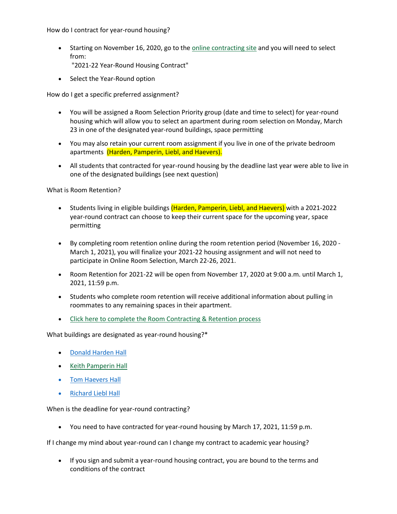How do I contract for year-round housing?

- Starting on November 16, 2020, go to the [online contracting site](https://mercuryportal.uwgb.edu/page/Landing) and you will need to select from:
	- "2021-22 Year-Round Housing Contract"
- Select the Year-Round option

How do I get a specific preferred assignment?

- You will be assigned a Room Selection Priority group (date and time to select) for year-round housing which will allow you to select an apartment during room selection on Monday, March 23 in one of the designated year-round buildings, space permitting
- You may also retain your current room assignment if you live in one of the private bedroom apartments (Harden, Pamperin, Liebl, and Haevers).
- All students that contracted for year-round housing by the deadline last year were able to live in one of the designated buildings (see next question)

What is Room Retention?

- Students living in eligible buildings (Harden, Pamperin, Liebl, and Haevers) with a 2021-2022 year-round contract can choose to keep their current space for the upcoming year, space permitting
- By completing room retention online during the room retention period (November 16, 2020 March 1, 2021), you will finalize your 2021-22 housing assignment and will not need to participate in Online Room Selection, March 22-26, 2021.
- Room Retention for 2021-22 will be open from November 17, 2020 at 9:00 a.m. until March 1, 2021, 11:59 p.m.
- Students who complete room retention will receive additional information about pulling in roommates to any remaining spaces in their apartment.
- [Click here to complete the Room Contracting & Retention process](https://mercuryportal.uwgb.edu/page/Landing)

What buildings are designated as year-round housing?\*

- [Donald Harden Hall](https://www.uwgb.edu/housing/private-room-apartments/donald-harden-hall/)
- [Keith Pamperin Hall](https://www.uwgb.edu/housing/private-room-apartments/keith-pamperin-hall/)
- [Tom Haevers Hall](https://www.uwgb.edu/housing/private-room-apartments/tom-haevers-hall/)
- [Richard Liebl Hall](https://www.uwgb.edu/housing/private-room-apartments/richard-liebl-hall/)

When is the deadline for year-round contracting?

• You need to have contracted for year-round housing by March 17, 2021, 11:59 p.m.

If I change my mind about year-round can I change my contract to academic year housing?

• If you sign and submit a year-round housing contract, you are bound to the terms and conditions of the contract